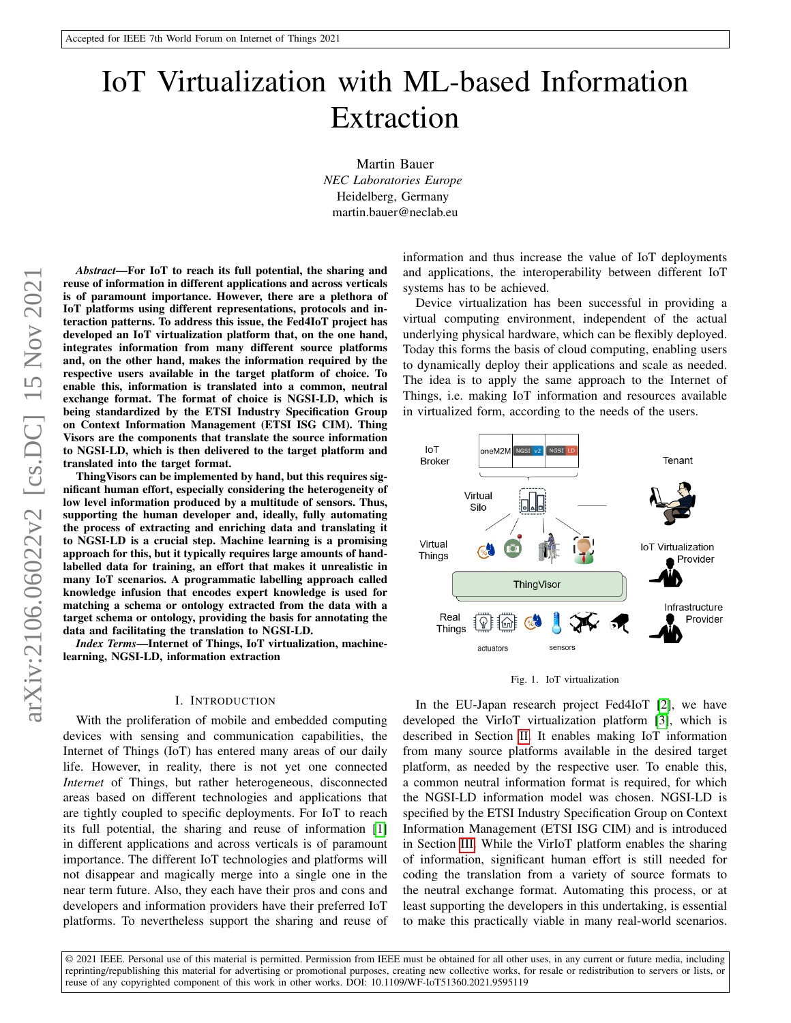# IoT Virtualization with ML-based Information Extraction

Martin Bauer *NEC Laboratories Europe* Heidelberg, Germany martin.bauer@neclab.eu

*Abstract*—For IoT to reach its full potential, the sharing and reuse of information in different applications and across verticals is of paramount importance. However, there are a plethora of IoT platforms using different representations, protocols and interaction patterns. To address this issue, the Fed4IoT project has developed an IoT virtualization platform that, on the one hand, integrates information from many different source platforms and, on the other hand, makes the information required by the respective users available in the target platform of choice. To enable this, information is translated into a common, neutral exchange format. The format of choice is NGSI-LD, which is being standardized by the ETSI Industry Specification Group on Context Information Management (ETSI ISG CIM). Thing Visors are the components that translate the source information to NGSI-LD, which is then delivered to the target platform and translated into the target format.

ThingVisors can be implemented by hand, but this requires significant human effort, especially considering the heterogeneity of low level information produced by a multitude of sensors. Thus, supporting the human developer and, ideally, fully automating the process of extracting and enriching data and translating it to NGSI-LD is a crucial step. Machine learning is a promising approach for this, but it typically requires large amounts of handlabelled data for training, an effort that makes it unrealistic in many IoT scenarios. A programmatic labelling approach called knowledge infusion that encodes expert knowledge is used for matching a schema or ontology extracted from the data with a target schema or ontology, providing the basis for annotating the data and facilitating the translation to NGSI-LD.

*Index Terms*—Internet of Things, IoT virtualization, machinelearning, NGSI-LD, information extraction

# I. INTRODUCTION

With the proliferation of mobile and embedded computing devices with sensing and communication capabilities, the Internet of Things (IoT) has entered many areas of our daily life. However, in reality, there is not yet one connected *Internet* of Things, but rather heterogeneous, disconnected areas based on different technologies and applications that are tightly coupled to specific deployments. For IoT to reach its full potential, the sharing and reuse of information [\[1\]](#page-5-0) in different applications and across verticals is of paramount importance. The different IoT technologies and platforms will not disappear and magically merge into a single one in the near term future. Also, they each have their pros and cons and developers and information providers have their preferred IoT platforms. To nevertheless support the sharing and reuse of information and thus increase the value of IoT deployments and applications, the interoperability between different IoT systems has to be achieved.

Device virtualization has been successful in providing a virtual computing environment, independent of the actual underlying physical hardware, which can be flexibly deployed. Today this forms the basis of cloud computing, enabling users to dynamically deploy their applications and scale as needed. The idea is to apply the same approach to the Internet of Things, i.e. making IoT information and resources available in virtualized form, according to the needs of the users.



<span id="page-0-0"></span>

In the EU-Japan research project Fed4IoT [\[2\]](#page-5-1), we have developed the VirIoT virtualization platform [\[3\]](#page-5-2), which is described in Section [II.](#page-1-0) It enables making IoT information from many source platforms available in the desired target platform, as needed by the respective user. To enable this, a common neutral information format is required, for which the NGSI-LD information model was chosen. NGSI-LD is specified by the ETSI Industry Specification Group on Context Information Management (ETSI ISG CIM) and is introduced in Section [III.](#page-2-0) While the VirIoT platform enables the sharing of information, significant human effort is still needed for coding the translation from a variety of source formats to the neutral exchange format. Automating this process, or at least supporting the developers in this undertaking, is essential to make this practically viable in many real-world scenarios.

© 2021 IEEE. Personal use of this material is permitted. Permission from IEEE must be obtained for all other uses, in any current or future media, including reprinting/republishing this material for advertising or promotional purposes, creating new collective works, for resale or redistribution to servers or lists, or reuse of any copyrighted component of this work in other works. DOI: 10.1109/WF-IoT51360.2021.9595119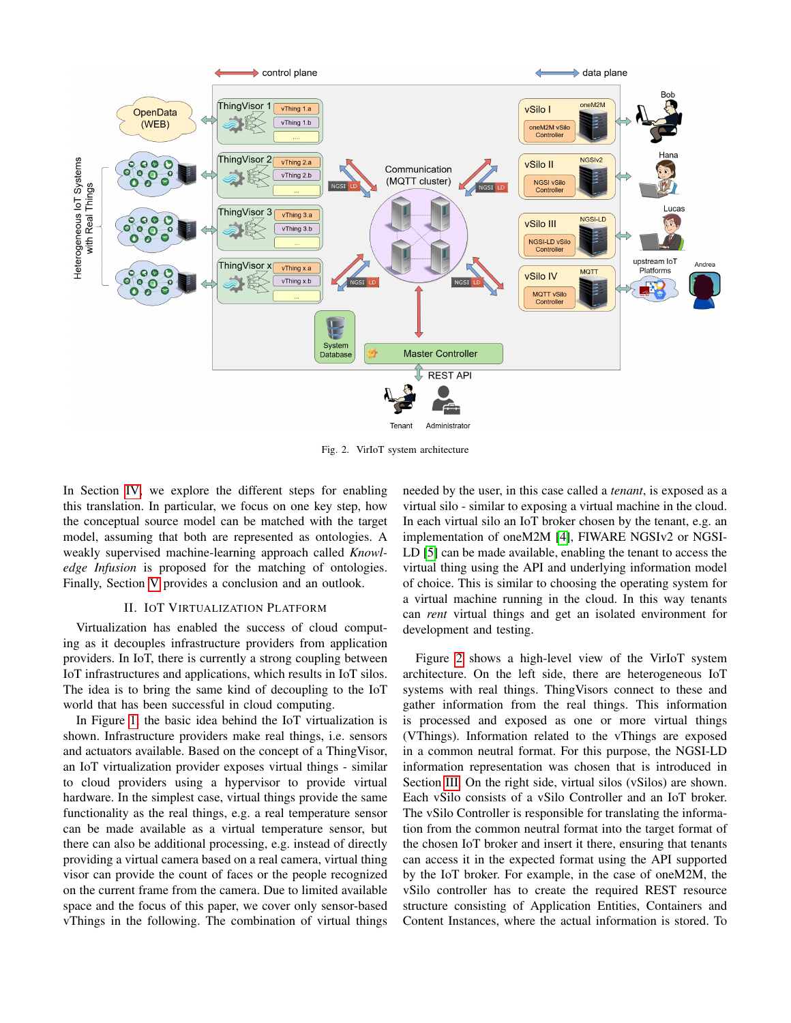

<span id="page-1-1"></span>Fig. 2. VirIoT system architecture

In Section [IV,](#page-3-0) we explore the different steps for enabling this translation. In particular, we focus on one key step, how the conceptual source model can be matched with the target model, assuming that both are represented as ontologies. A weakly supervised machine-learning approach called *Knowledge Infusion* is proposed for the matching of ontologies. Finally, Section [V](#page-5-3) provides a conclusion and an outlook.

#### II. IOT VIRTUALIZATION PLATFORM

<span id="page-1-0"></span>Virtualization has enabled the success of cloud computing as it decouples infrastructure providers from application providers. In IoT, there is currently a strong coupling between IoT infrastructures and applications, which results in IoT silos. The idea is to bring the same kind of decoupling to the IoT world that has been successful in cloud computing.

In Figure [1,](#page-0-0) the basic idea behind the IoT virtualization is shown. Infrastructure providers make real things, i.e. sensors and actuators available. Based on the concept of a ThingVisor, an IoT virtualization provider exposes virtual things - similar to cloud providers using a hypervisor to provide virtual hardware. In the simplest case, virtual things provide the same functionality as the real things, e.g. a real temperature sensor can be made available as a virtual temperature sensor, but there can also be additional processing, e.g. instead of directly providing a virtual camera based on a real camera, virtual thing visor can provide the count of faces or the people recognized on the current frame from the camera. Due to limited available space and the focus of this paper, we cover only sensor-based vThings in the following. The combination of virtual things

needed by the user, in this case called a *tenant*, is exposed as a virtual silo - similar to exposing a virtual machine in the cloud. In each virtual silo an IoT broker chosen by the tenant, e.g. an implementation of oneM2M [\[4\]](#page-5-4), FIWARE NGSIv2 or NGSI-LD [\[5\]](#page-5-5) can be made available, enabling the tenant to access the virtual thing using the API and underlying information model of choice. This is similar to choosing the operating system for a virtual machine running in the cloud. In this way tenants can *rent* virtual things and get an isolated environment for development and testing.

Figure [2](#page-1-1) shows a high-level view of the VirIoT system architecture. On the left side, there are heterogeneous IoT systems with real things. ThingVisors connect to these and gather information from the real things. This information is processed and exposed as one or more virtual things (VThings). Information related to the vThings are exposed in a common neutral format. For this purpose, the NGSI-LD information representation was chosen that is introduced in Section [III.](#page-2-0) On the right side, virtual silos (vSilos) are shown. Each vSilo consists of a vSilo Controller and an IoT broker. The vSilo Controller is responsible for translating the information from the common neutral format into the target format of the chosen IoT broker and insert it there, ensuring that tenants can access it in the expected format using the API supported by the IoT broker. For example, in the case of oneM2M, the vSilo controller has to create the required REST resource structure consisting of Application Entities, Containers and Content Instances, where the actual information is stored. To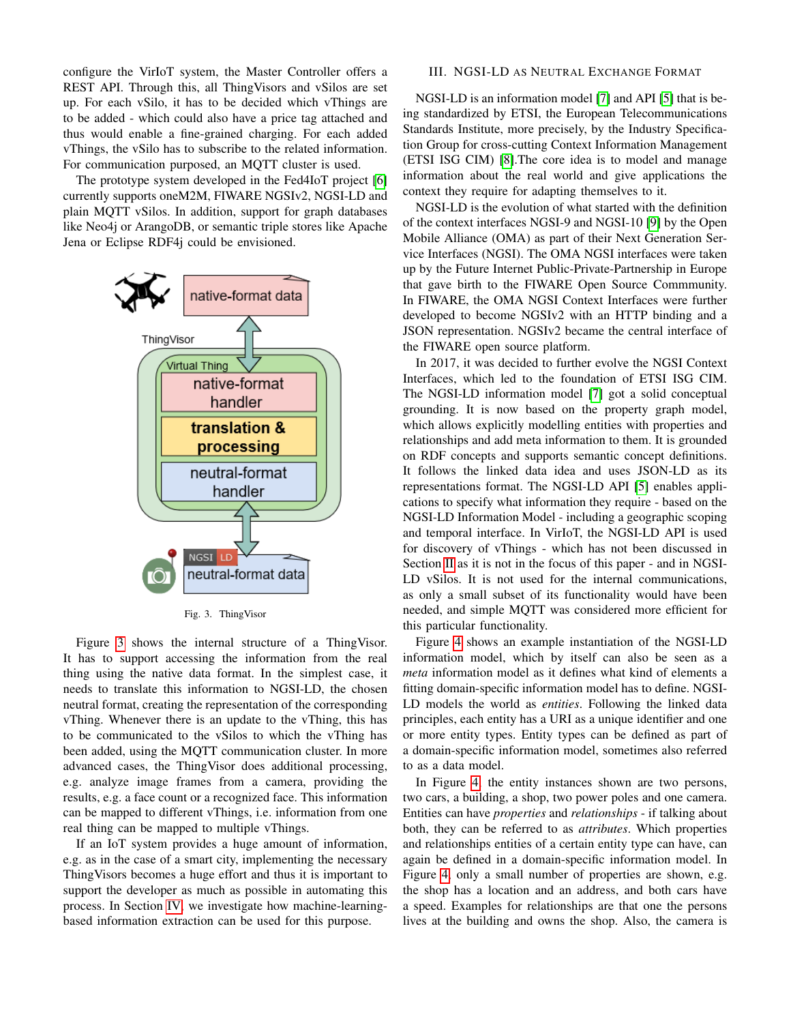configure the VirIoT system, the Master Controller offers a REST API. Through this, all ThingVisors and vSilos are set up. For each vSilo, it has to be decided which vThings are to be added - which could also have a price tag attached and thus would enable a fine-grained charging. For each added vThings, the vSilo has to subscribe to the related information. For communication purposed, an MQTT cluster is used.

The prototype system developed in the Fed4IoT project [\[6\]](#page-5-6) currently supports oneM2M, FIWARE NGSIv2, NGSI-LD and plain MQTT vSilos. In addition, support for graph databases like Neo4j or ArangoDB, or semantic triple stores like Apache Jena or Eclipse RDF4j could be envisioned.



<span id="page-2-1"></span>Fig. 3. ThingVisor

Figure [3](#page-2-1) shows the internal structure of a ThingVisor. It has to support accessing the information from the real thing using the native data format. In the simplest case, it needs to translate this information to NGSI-LD, the chosen neutral format, creating the representation of the corresponding vThing. Whenever there is an update to the vThing, this has to be communicated to the vSilos to which the vThing has been added, using the MQTT communication cluster. In more advanced cases, the ThingVisor does additional processing, e.g. analyze image frames from a camera, providing the results, e.g. a face count or a recognized face. This information can be mapped to different vThings, i.e. information from one real thing can be mapped to multiple vThings.

If an IoT system provides a huge amount of information, e.g. as in the case of a smart city, implementing the necessary ThingVisors becomes a huge effort and thus it is important to support the developer as much as possible in automating this process. In Section [IV,](#page-3-0) we investigate how machine-learningbased information extraction can be used for this purpose.

# <span id="page-2-0"></span>III. NGSI-LD AS NEUTRAL EXCHANGE FORMAT

NGSI-LD is an information model [\[7\]](#page-5-7) and API [\[5\]](#page-5-5) that is being standardized by ETSI, the European Telecommunications Standards Institute, more precisely, by the Industry Specification Group for cross-cutting Context Information Management (ETSI ISG CIM) [\[8\]](#page-5-8).The core idea is to model and manage information about the real world and give applications the context they require for adapting themselves to it.

NGSI-LD is the evolution of what started with the definition of the context interfaces NGSI-9 and NGSI-10 [\[9\]](#page-5-9) by the Open Mobile Alliance (OMA) as part of their Next Generation Service Interfaces (NGSI). The OMA NGSI interfaces were taken up by the Future Internet Public-Private-Partnership in Europe that gave birth to the FIWARE Open Source Commmunity. In FIWARE, the OMA NGSI Context Interfaces were further developed to become NGSIv2 with an HTTP binding and a JSON representation. NGSIv2 became the central interface of the FIWARE open source platform.

In 2017, it was decided to further evolve the NGSI Context Interfaces, which led to the foundation of ETSI ISG CIM. The NGSI-LD information model [\[7\]](#page-5-7) got a solid conceptual grounding. It is now based on the property graph model, which allows explicitly modelling entities with properties and relationships and add meta information to them. It is grounded on RDF concepts and supports semantic concept definitions. It follows the linked data idea and uses JSON-LD as its representations format. The NGSI-LD API [\[5\]](#page-5-5) enables applications to specify what information they require - based on the NGSI-LD Information Model - including a geographic scoping and temporal interface. In VirIoT, the NGSI-LD API is used for discovery of vThings - which has not been discussed in Section [II](#page-1-0) as it is not in the focus of this paper - and in NGSI-LD vSilos. It is not used for the internal communications, as only a small subset of its functionality would have been needed, and simple MQTT was considered more efficient for this particular functionality.

Figure [4](#page-3-1) shows an example instantiation of the NGSI-LD information model, which by itself can also be seen as a *meta* information model as it defines what kind of elements a fitting domain-specific information model has to define. NGSI-LD models the world as *entities*. Following the linked data principles, each entity has a URI as a unique identifier and one or more entity types. Entity types can be defined as part of a domain-specific information model, sometimes also referred to as a data model.

In Figure [4,](#page-3-1) the entity instances shown are two persons, two cars, a building, a shop, two power poles and one camera. Entities can have *properties* and *relationships* - if talking about both, they can be referred to as *attributes*. Which properties and relationships entities of a certain entity type can have, can again be defined in a domain-specific information model. In Figure [4,](#page-3-1) only a small number of properties are shown, e.g. the shop has a location and an address, and both cars have a speed. Examples for relationships are that one the persons lives at the building and owns the shop. Also, the camera is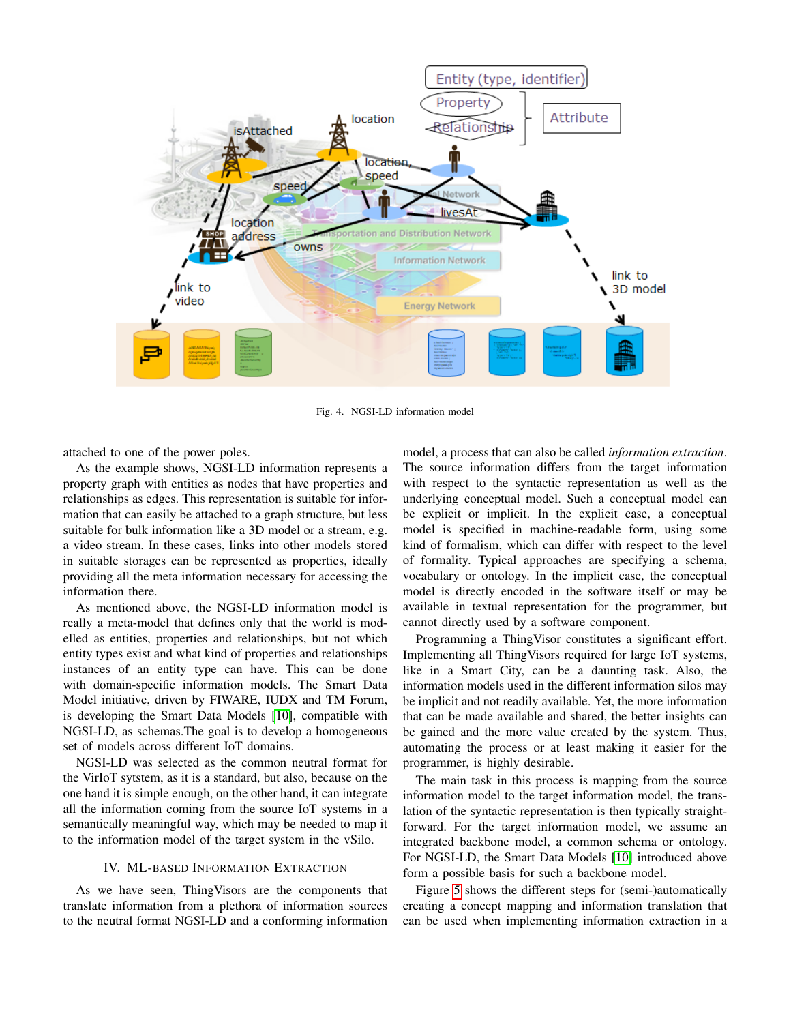

<span id="page-3-1"></span>Fig. 4. NGSI-LD information model

attached to one of the power poles.

As the example shows, NGSI-LD information represents a property graph with entities as nodes that have properties and relationships as edges. This representation is suitable for information that can easily be attached to a graph structure, but less suitable for bulk information like a 3D model or a stream, e.g. a video stream. In these cases, links into other models stored in suitable storages can be represented as properties, ideally providing all the meta information necessary for accessing the information there.

As mentioned above, the NGSI-LD information model is really a meta-model that defines only that the world is modelled as entities, properties and relationships, but not which entity types exist and what kind of properties and relationships instances of an entity type can have. This can be done with domain-specific information models. The Smart Data Model initiative, driven by FIWARE, IUDX and TM Forum, is developing the Smart Data Models [\[10\]](#page-5-10), compatible with NGSI-LD, as schemas.The goal is to develop a homogeneous set of models across different IoT domains.

NGSI-LD was selected as the common neutral format for the VirIoT sytstem, as it is a standard, but also, because on the one hand it is simple enough, on the other hand, it can integrate all the information coming from the source IoT systems in a semantically meaningful way, which may be needed to map it to the information model of the target system in the vSilo.

# IV. ML-BASED INFORMATION EXTRACTION

<span id="page-3-0"></span>As we have seen, ThingVisors are the components that translate information from a plethora of information sources to the neutral format NGSI-LD and a conforming information

model, a process that can also be called *information extraction*. The source information differs from the target information with respect to the syntactic representation as well as the underlying conceptual model. Such a conceptual model can be explicit or implicit. In the explicit case, a conceptual model is specified in machine-readable form, using some kind of formalism, which can differ with respect to the level of formality. Typical approaches are specifying a schema, vocabulary or ontology. In the implicit case, the conceptual model is directly encoded in the software itself or may be available in textual representation for the programmer, but cannot directly used by a software component.

Programming a ThingVisor constitutes a significant effort. Implementing all ThingVisors required for large IoT systems, like in a Smart City, can be a daunting task. Also, the information models used in the different information silos may be implicit and not readily available. Yet, the more information that can be made available and shared, the better insights can be gained and the more value created by the system. Thus, automating the process or at least making it easier for the programmer, is highly desirable.

The main task in this process is mapping from the source information model to the target information model, the translation of the syntactic representation is then typically straightforward. For the target information model, we assume an integrated backbone model, a common schema or ontology. For NGSI-LD, the Smart Data Models [\[10\]](#page-5-10) introduced above form a possible basis for such a backbone model.

Figure [5](#page-4-0) shows the different steps for (semi-)automatically creating a concept mapping and information translation that can be used when implementing information extraction in a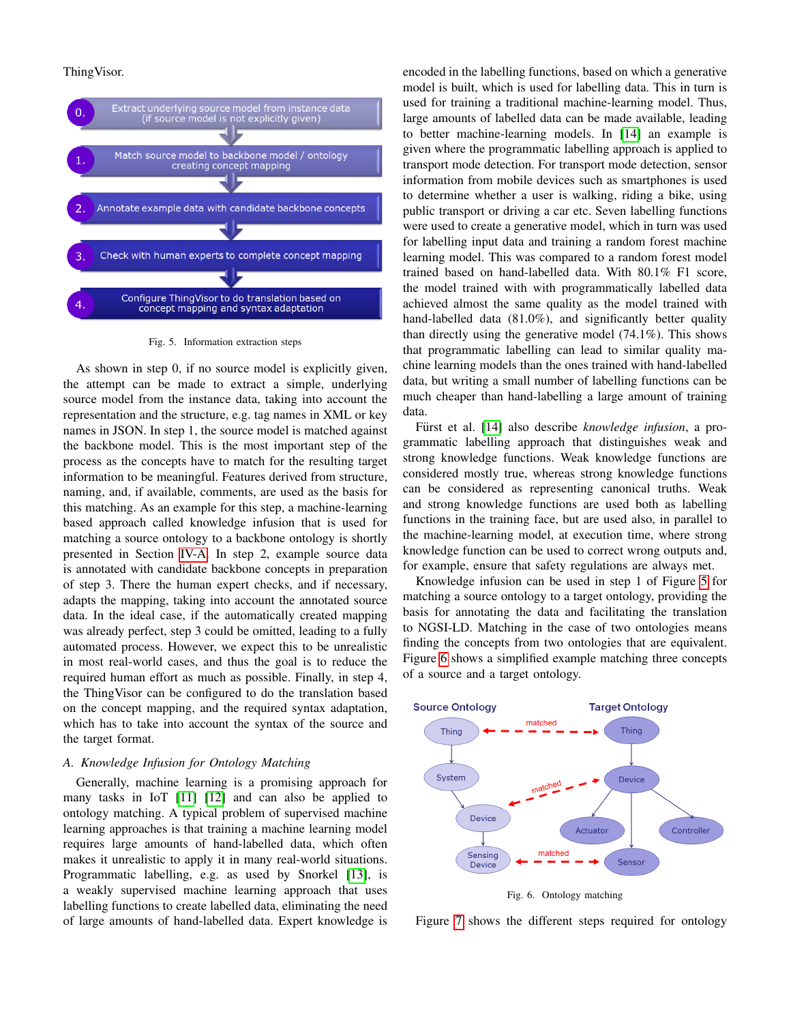# ThingVisor.



<span id="page-4-0"></span>Fig. 5. Information extraction steps

As shown in step 0, if no source model is explicitly given, the attempt can be made to extract a simple, underlying source model from the instance data, taking into account the representation and the structure, e.g. tag names in XML or key names in JSON. In step 1, the source model is matched against the backbone model. This is the most important step of the process as the concepts have to match for the resulting target information to be meaningful. Features derived from structure, naming, and, if available, comments, are used as the basis for this matching. As an example for this step, a machine-learning based approach called knowledge infusion that is used for matching a source ontology to a backbone ontology is shortly presented in Section [IV-A.](#page-4-1) In step 2, example source data is annotated with candidate backbone concepts in preparation of step 3. There the human expert checks, and if necessary, adapts the mapping, taking into account the annotated source data. In the ideal case, if the automatically created mapping was already perfect, step 3 could be omitted, leading to a fully automated process. However, we expect this to be unrealistic in most real-world cases, and thus the goal is to reduce the required human effort as much as possible. Finally, in step 4, the ThingVisor can be configured to do the translation based on the concept mapping, and the required syntax adaptation, which has to take into account the syntax of the source and the target format.

### <span id="page-4-1"></span>*A. Knowledge Infusion for Ontology Matching*

Generally, machine learning is a promising approach for many tasks in IoT [\[11\]](#page-5-11) [\[12\]](#page-5-12) and can also be applied to ontology matching. A typical problem of supervised machine learning approaches is that training a machine learning model requires large amounts of hand-labelled data, which often makes it unrealistic to apply it in many real-world situations. Programmatic labelling, e.g. as used by Snorkel [\[13\]](#page-5-13), is a weakly supervised machine learning approach that uses labelling functions to create labelled data, eliminating the need of large amounts of hand-labelled data. Expert knowledge is encoded in the labelling functions, based on which a generative model is built, which is used for labelling data. This in turn is used for training a traditional machine-learning model. Thus, large amounts of labelled data can be made available, leading to better machine-learning models. In [\[14\]](#page-5-14) an example is given where the programmatic labelling approach is applied to transport mode detection. For transport mode detection, sensor information from mobile devices such as smartphones is used to determine whether a user is walking, riding a bike, using public transport or driving a car etc. Seven labelling functions were used to create a generative model, which in turn was used for labelling input data and training a random forest machine learning model. This was compared to a random forest model trained based on hand-labelled data. With 80.1% F1 score, the model trained with with programmatically labelled data achieved almost the same quality as the model trained with hand-labelled data (81.0%), and significantly better quality than directly using the generative model (74.1%). This shows that programmatic labelling can lead to similar quality machine learning models than the ones trained with hand-labelled data, but writing a small number of labelling functions can be much cheaper than hand-labelling a large amount of training data.

Fürst et al. [\[14\]](#page-5-14) also describe *knowledge infusion*, a programmatic labelling approach that distinguishes weak and strong knowledge functions. Weak knowledge functions are considered mostly true, whereas strong knowledge functions can be considered as representing canonical truths. Weak and strong knowledge functions are used both as labelling functions in the training face, but are used also, in parallel to the machine-learning model, at execution time, where strong knowledge function can be used to correct wrong outputs and, for example, ensure that safety regulations are always met.

Knowledge infusion can be used in step 1 of Figure [5](#page-4-0) for matching a source ontology to a target ontology, providing the basis for annotating the data and facilitating the translation to NGSI-LD. Matching in the case of two ontologies means finding the concepts from two ontologies that are equivalent. Figure [6](#page-4-2) shows a simplified example matching three concepts of a source and a target ontology.



<span id="page-4-2"></span>Fig. 6. Ontology matching

Figure [7](#page-5-15) shows the different steps required for ontology